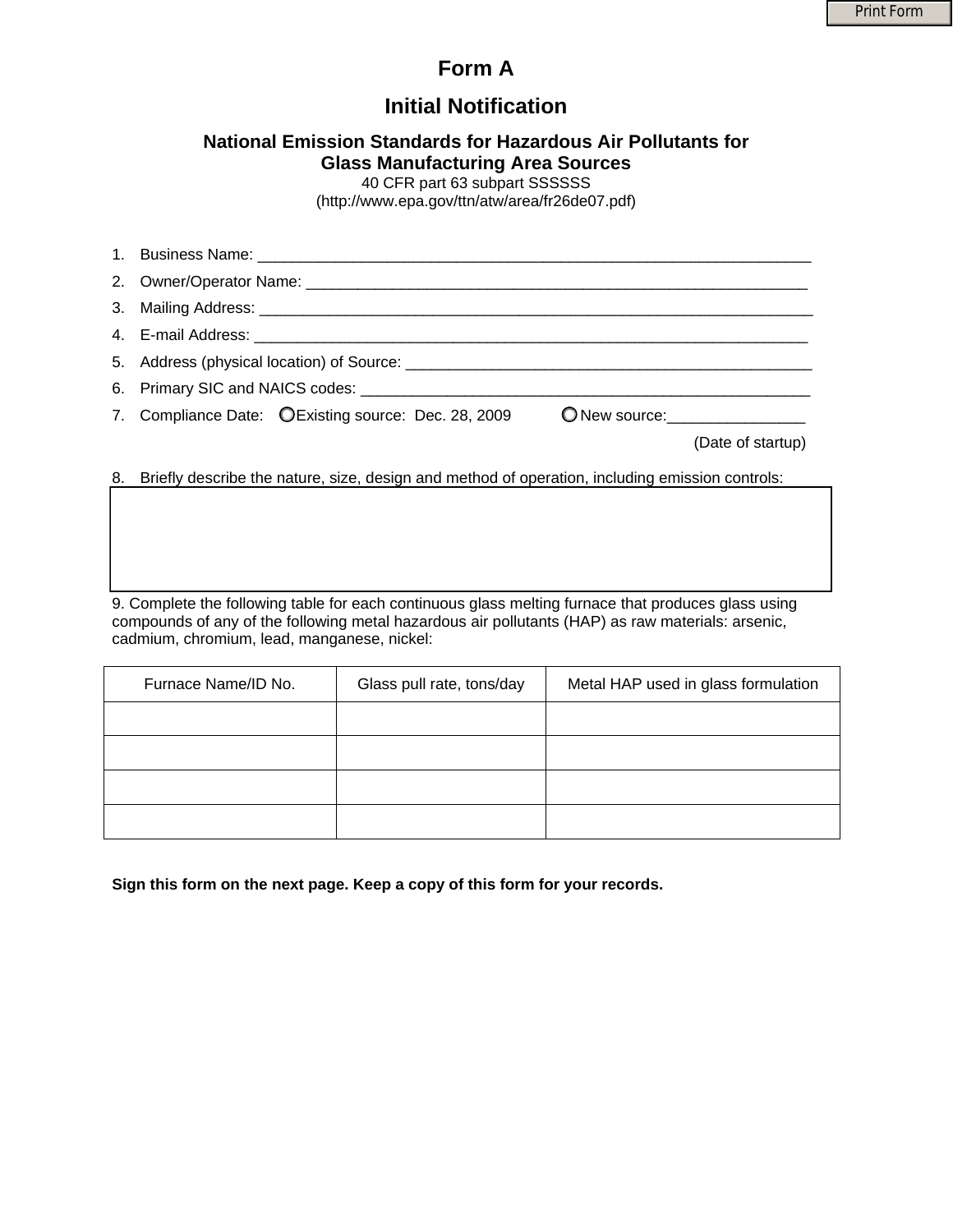## **Form A**

# **Initial Notification**

### **National Emission Standards for Hazardous Air Pollutants for Glass Manufacturing Area Sources**

40 CFR part 63 subpart SSSSSS

[\(http://www.epa.gov/ttn/atw/area/fr26de07.pdf\)](http://www.epa.gov/ttn/atw/area/fr26de07.pdf)

| 7. Compliance Date: CExisting source: Dec. 28, 2009                                                | O New source: 1990 New Source: |                   |
|----------------------------------------------------------------------------------------------------|--------------------------------|-------------------|
|                                                                                                    |                                | (Date of startup) |
| 8. Briefly describe the nature, size, design and method of operation, including emission controls: |                                |                   |

9. Complete the following table for each continuous glass melting furnace that produces glass using compounds of any of the following metal hazardous air pollutants (HAP) as raw materials: arsenic, cadmium, chromium, lead, manganese, nickel:

| Furnace Name/ID No. | Glass pull rate, tons/day | Metal HAP used in glass formulation |
|---------------------|---------------------------|-------------------------------------|
|                     |                           |                                     |
|                     |                           |                                     |
|                     |                           |                                     |
|                     |                           |                                     |

**Sign this form on the next page. Keep a copy of this form for your records.**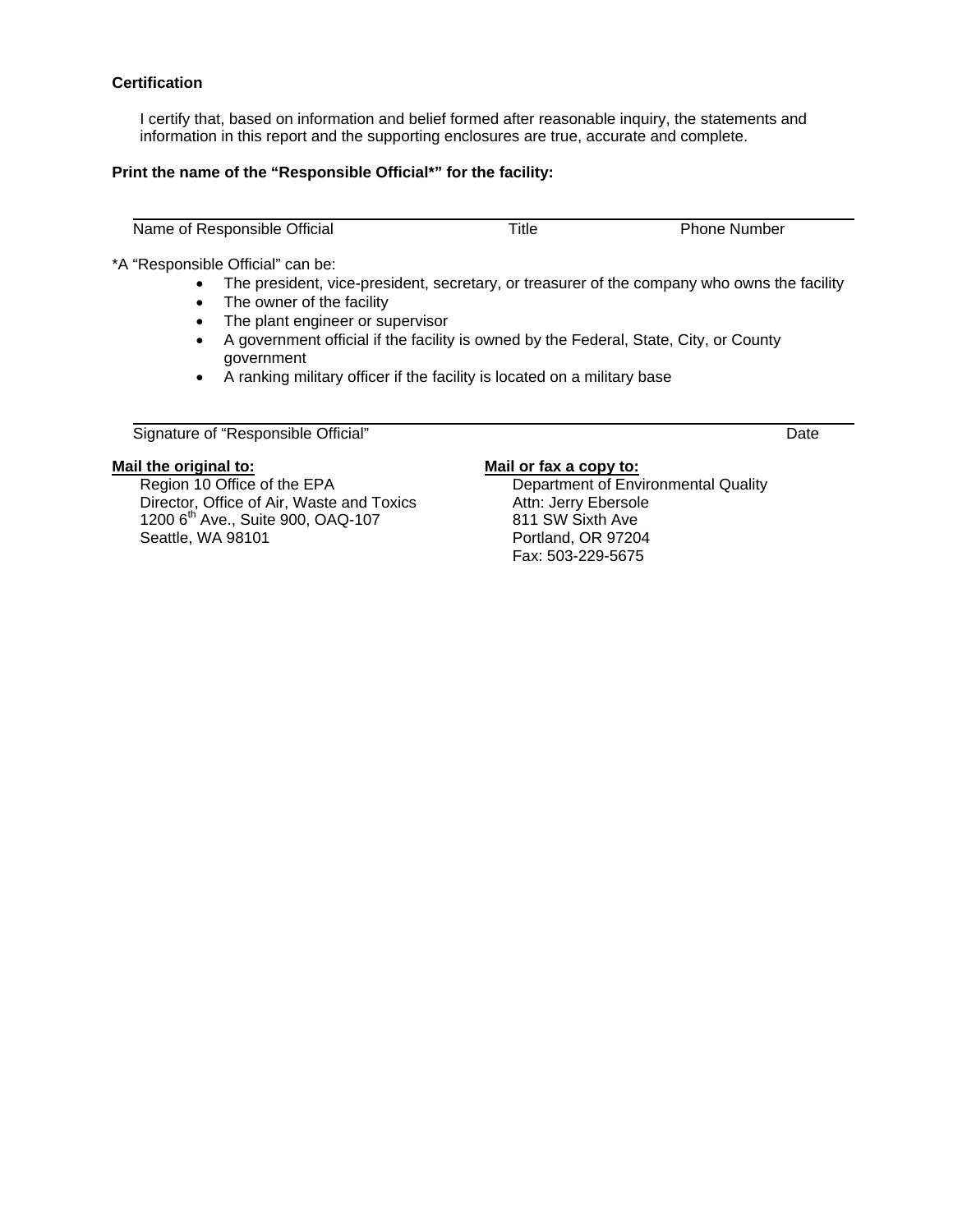#### **Certification**

I certify that, based on information and belief formed after reasonable inquiry, the statements and information in this report and the supporting enclosures are true, accurate and complete.

#### **Print the name of the "Responsible Official\*" for the facility:**

Name of Responsible Official Title Title Phone Number

\*A "Responsible Official" can be:

- The president, vice-president, secretary, or treasurer of the company who owns the facility
- The owner of the facility
- The plant engineer or supervisor
- A government official if the facility is owned by the Federal, State, City, or County government
- A ranking military officer if the facility is located on a military base

Signature of "Responsible Official" Date

#### **Mail the original to:**

Region 10 Office of the EPA Director, Office of Air, Waste and Toxics 1200 6<sup>th</sup> Ave., Suite 900, OAQ-107 Seattle, WA 98101

#### **Mail or fax a copy to:**

Department of Environmental Quality Attn: Jerry Ebersole 811 SW Sixth Ave Portland, OR 97204 Fax: 503-229-5675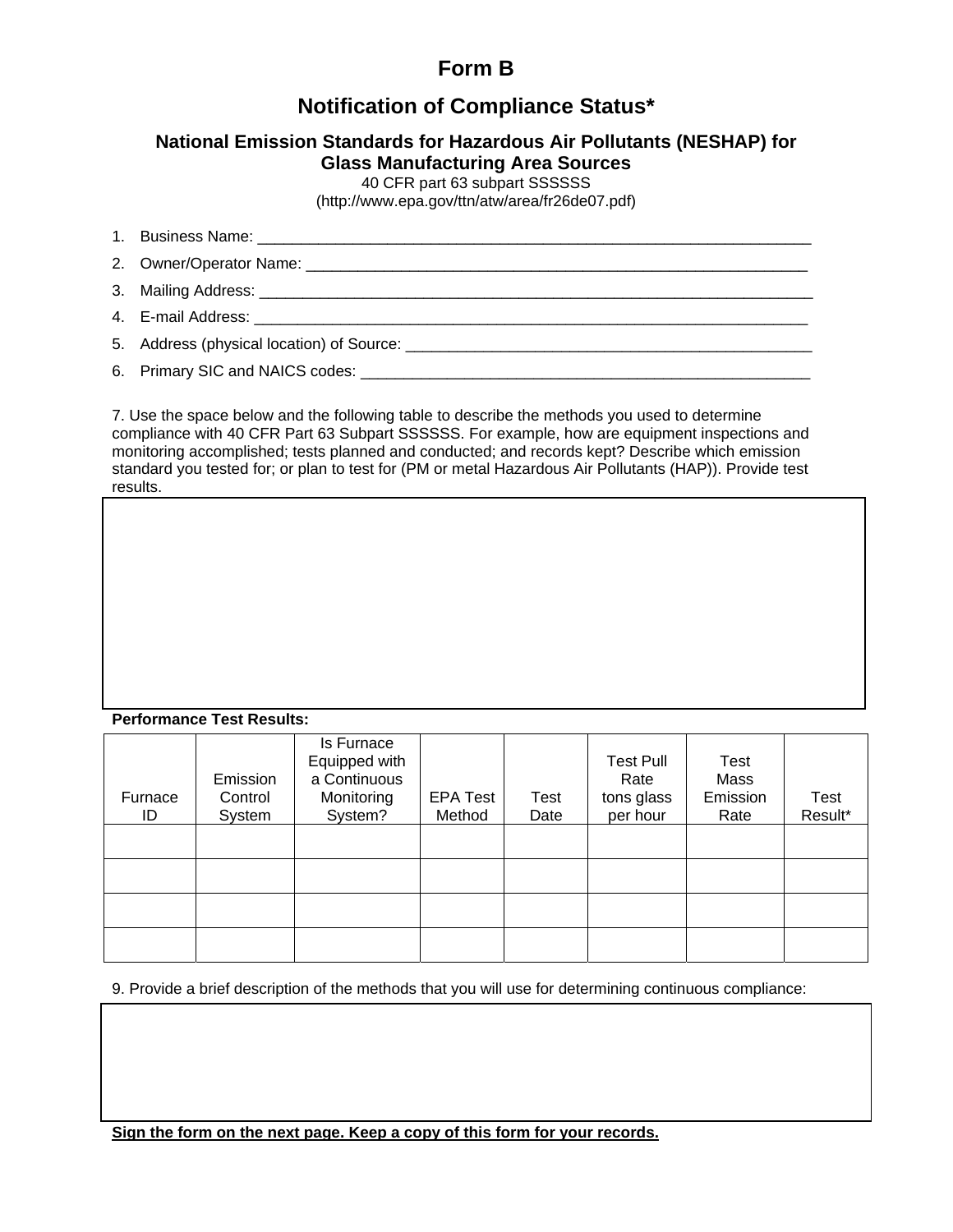# **Form B**

## **Notification of Compliance Status\***

### **National Emission Standards for Hazardous Air Pollutants (NESHAP) for Glass Manufacturing Area Sources**

40 CFR part 63 subpart SSSSSS

[\(http://www.epa.gov/ttn/atw/area/fr26de07.pdf\)](http://www.epa.gov/ttn/atw/area/fr26de07.pdf)

- 1. Business Name: \_\_\_\_\_\_\_\_\_\_\_\_\_\_\_\_\_\_\_\_\_\_\_\_\_\_\_\_\_\_\_\_\_\_\_\_\_\_\_\_\_\_\_\_\_\_\_\_\_\_\_\_\_\_\_\_\_\_\_\_\_\_\_\_
- 2. Owner/Operator Name: \_\_\_\_\_\_\_\_\_\_\_\_\_\_\_\_\_\_\_\_\_\_\_\_\_\_\_\_\_\_\_\_\_\_\_\_\_\_\_\_\_\_\_\_\_\_\_\_\_\_\_\_\_\_\_\_\_\_
- 3. Mailing Address: \_\_\_\_\_\_\_\_\_\_\_\_\_\_\_\_\_\_\_\_\_\_\_\_\_\_\_\_\_\_\_\_\_\_\_\_\_\_\_\_\_\_\_\_\_\_\_\_\_\_\_\_\_\_\_\_\_\_\_\_\_\_\_\_
- 4. E-mail Address: \_\_\_\_\_\_\_\_\_\_\_\_\_\_\_\_\_\_\_\_\_\_\_\_\_\_\_\_\_\_\_\_\_\_\_\_\_\_\_\_\_\_\_\_\_\_\_\_\_\_\_\_\_\_\_\_\_\_\_\_\_\_\_\_

5. Address (physical location) of Source: \_\_\_\_\_\_\_\_\_\_\_\_\_\_\_\_\_\_\_\_\_\_\_\_\_\_\_\_\_\_\_\_\_\_\_\_\_\_\_\_\_\_\_\_\_\_\_

6. Primary SIC and NAICS codes: \_\_\_\_\_\_\_\_\_\_\_\_\_\_\_\_\_\_\_\_\_\_\_\_\_\_\_\_\_\_\_\_\_\_\_\_\_\_\_\_\_\_\_\_\_\_\_\_\_\_\_\_

7. Use the space below and the following table to describe the methods you used to determine compliance with 40 CFR Part 63 Subpart SSSSSS. For example, how are equipment inspections and monitoring accomplished; tests planned and conducted; and records kept? Describe which emission standard you tested for; or plan to test for (PM or metal Hazardous Air Pollutants (HAP)). Provide test results.

#### **Performance Test Results:**

| Furnace<br>ID | Emission<br>Control<br>System | Is Furnace<br>Equipped with<br>a Continuous<br>Monitoring<br>System? | <b>EPA Test</b><br>Method | Test<br>Date | <b>Test Pull</b><br>Rate<br>tons glass<br>per hour | Test<br>Mass<br>Emission<br>Rate | Test<br>Result* |
|---------------|-------------------------------|----------------------------------------------------------------------|---------------------------|--------------|----------------------------------------------------|----------------------------------|-----------------|
|               |                               |                                                                      |                           |              |                                                    |                                  |                 |
|               |                               |                                                                      |                           |              |                                                    |                                  |                 |
|               |                               |                                                                      |                           |              |                                                    |                                  |                 |
|               |                               |                                                                      |                           |              |                                                    |                                  |                 |

9. Provide a brief description of the methods that you will use for determining continuous compliance:

**Sign the form on the next page. Keep a copy of this form for your records.**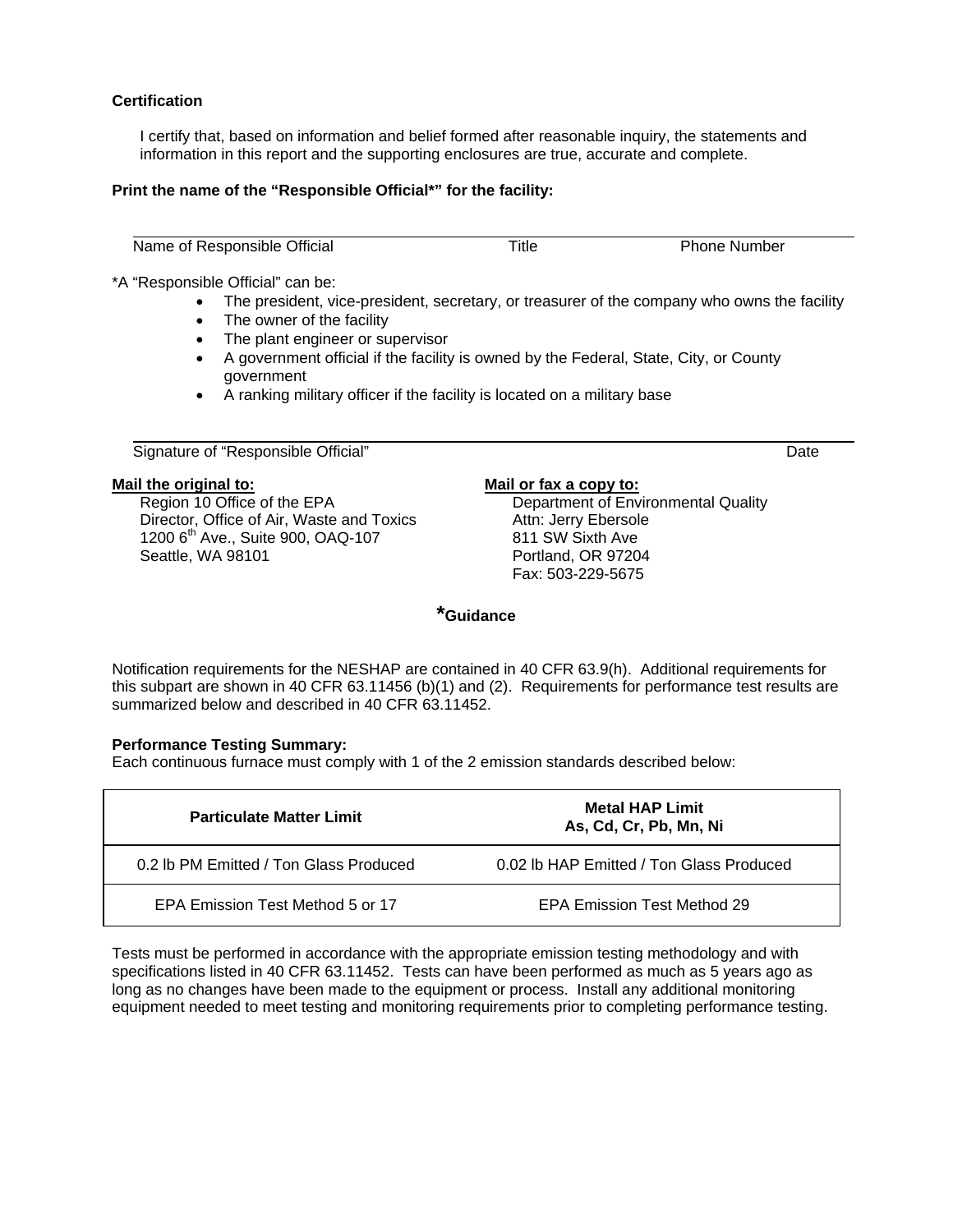#### **Certification**

I certify that, based on information and belief formed after reasonable inquiry, the statements and information in this report and the supporting enclosures are true, accurate and complete.

#### **Print the name of the "Responsible Official\*" for the facility:**

Name of Responsible Official **Name is a set of Contact Contact Contact Contact Contact Phone Number** 

\*A "Responsible Official" can be:

- The president, vice-president, secretary, or treasurer of the company who owns the facility
- The owner of the facility
- The plant engineer or supervisor
- A government official if the facility is owned by the Federal, State, City, or County government
- A ranking military officer if the facility is located on a military base

#### Signature of "Responsible Official" Date and the Contract of the Contract of the Contract of the Date Date Date

#### **Mail the original to:**

Region 10 Office of the EPA Director, Office of Air, Waste and Toxics 1200 6<sup>th</sup> Ave., Suite 900, OAQ-107 Seattle, WA 98101

#### **Mail or fax a copy to:**

Department of Environmental Quality Attn: Jerry Ebersole 811 SW Sixth Ave Portland, OR 97204 Fax: 503-229-5675

**\*Guidance** 

Notification requirements for the NESHAP are contained in 40 CFR 63.9(h). Additional requirements for this subpart are shown in 40 CFR 63.11456 (b)(1) and (2). Requirements for performance test results are summarized below and described in 40 CFR 63.11452.

#### **Performance Testing Summary:**

Each continuous furnace must comply with 1 of the 2 emission standards described below:

| <b>Particulate Matter Limit</b>        | <b>Metal HAP Limit</b><br>As, Cd, Cr, Pb, Mn, Ni |  |
|----------------------------------------|--------------------------------------------------|--|
| 0.2 lb PM Emitted / Ton Glass Produced | 0.02 lb HAP Emitted / Ton Glass Produced         |  |
| EPA Emission Test Method 5 or 17       | EPA Emission Test Method 29                      |  |

Tests must be performed in accordance with the appropriate emission testing methodology and with specifications listed in 40 CFR 63.11452. Tests can have been performed as much as 5 years ago as long as no changes have been made to the equipment or process. Install any additional monitoring equipment needed to meet testing and monitoring requirements prior to completing performance testing.